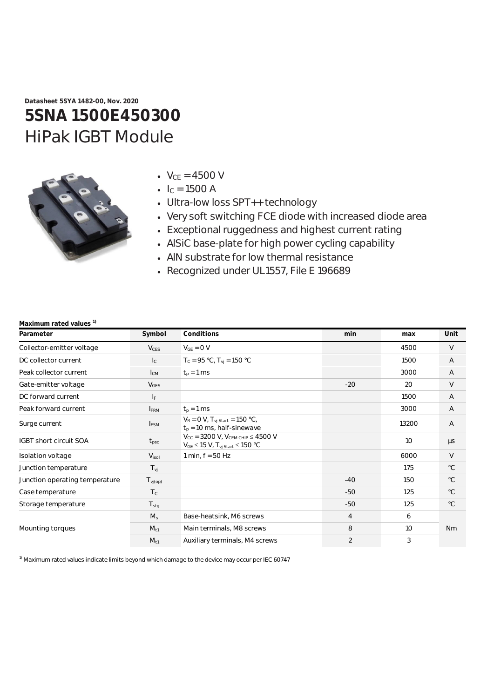**Datasheet 5SYA 1482-00, Nov. 2020**

# **5SNA 1500E450300** HiPak IGBT Module



- $V_{CE} = 4500 V$
- $I_C = 1500 A$
- Ultra-low loss SPT++ technology
- Very soft switching FCE diode with increased diode area
- Exceptional ruggedness and highest current rating
- AlSiC base-plate for high power cycling capability
- AlN substrate for low thermal resistance
- Recognized under UL1557, File E 196689

| Parameter                      | Symbol                  | Conditions                                                                                                | min            | max             | Unit           |
|--------------------------------|-------------------------|-----------------------------------------------------------------------------------------------------------|----------------|-----------------|----------------|
| Collector-emitter voltage      | $V_{CES}$               | $V_{GE} = 0 V$                                                                                            |                | 4500            | V              |
| DC collector current           | $\mathsf{I}_\mathsf{C}$ | $T_c = 95 °C$ , $T_{vj} = 150 °C$                                                                         |                | 1500            | A              |
| Peak collector current         | $I_{CM}$                | $t_p = 1$ ms                                                                                              |                | 3000            | $\overline{A}$ |
| Gate-emitter voltage           | <b>V<sub>GES</sub></b>  |                                                                                                           | $-20$          | 20              | V              |
| DC forward current             | IF.                     |                                                                                                           |                | 1500            | A              |
| Peak forward current           | <b>IFRM</b>             | $t_p = 1$ ms                                                                                              |                | 3000            | $\overline{A}$ |
| Surge current                  | $I_{FSM}$               | $V_R = 0 V$ , $T_{vi \text{ Start}} = 150 \text{ °C}$ ,<br>$t_p$ = 10 ms, half-sinewave                   |                | 13200           | $\overline{A}$ |
| <b>IGBT short circuit SOA</b>  | $t_{\rm psc}$           | $V_{CC}$ = 3200 V, $V_{CEM CHIP} \le 4500$ V<br>$V_{GE}$ $\leq$ 15 V, T <sub>vj Start</sub> $\leq$ 150 °C |                | 10 <sup>1</sup> | $\mu s$        |
| Isolation voltage              | V <sub>isol</sub>       | 1 min, $f = 50$ Hz                                                                                        |                | 6000            | V              |
| Junction temperature           | $T_{\nu j}$             |                                                                                                           |                | 175             | $^{\circ}C$    |
| Junction operating temperature | $T_{\text{vj(op)}}$     |                                                                                                           | $-40$          | 150             | $^{\circ}C$    |
| Case temperature               | $T_c$                   |                                                                                                           | $-50$          | 125             | $^{\circ}C$    |
| Storage temperature            | $T_{\text{stg}}$        |                                                                                                           | $-50$          | 125             | $^{\circ}C$    |
|                                | $M_s$                   | Base-heatsink, M6 screws                                                                                  | $\overline{4}$ | 6               |                |
| Mounting torques               | $M_{t1}$                | Main terminals, M8 screws                                                                                 | 8              | 10              | <b>Nm</b>      |
|                                | $M_{11}$                | Auxiliary terminals, M4 screws                                                                            | $\overline{2}$ | 3               |                |

## **Maximum rated values 1)**

<sup>1)</sup> Maximum rated values indicate limits beyond which damage to the device may occur per IEC 60747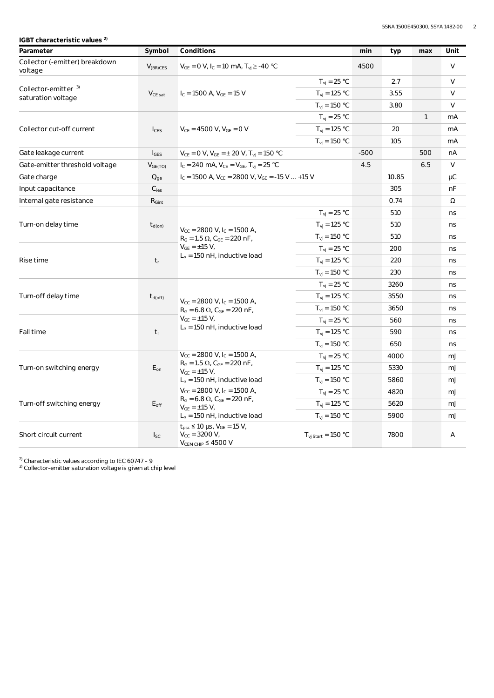**IGBT characteristic values 2)**

| Parameter                                             | Symbol             | Conditions                                                                                                                                       |                                        | min    | typ   | max          | Unit   |
|-------------------------------------------------------|--------------------|--------------------------------------------------------------------------------------------------------------------------------------------------|----------------------------------------|--------|-------|--------------|--------|
| Collector (-emitter) breakdown<br>voltage             | $V_{(BR)CES}$      | $V_{GE} = 0 V$ , $I_C = 10 mA$ , $T_{vj} \ge -40 °C$                                                                                             |                                        | 4500   |       |              | V      |
|                                                       |                    |                                                                                                                                                  | $T_{\rm vj} = 25$ °C                   |        | 2.7   |              | V      |
| Collector-emitter <sup>3)</sup><br>saturation voltage | $V_{CE\, sat}$     | $I_c = 1500$ A, $V_{GE} = 15$ V                                                                                                                  | $T_{vi}$ = 125 °C                      |        | 3.55  |              | $\vee$ |
|                                                       |                    |                                                                                                                                                  | $T_{\rm vj} = 150 \, \degree C$        |        | 3.80  |              | V      |
|                                                       |                    | $V_{CF}$ = 4500 V, $V_{GF}$ = 0 V                                                                                                                | $T_{\rm vj} = 25$ °C                   |        |       | $\mathbf{1}$ | mA     |
| Collector cut-off current                             | $I_{CES}$          |                                                                                                                                                  | $T_{vi}$ = 125 °C                      |        | 20    |              | mA     |
|                                                       |                    |                                                                                                                                                  | $T_{\rm vj} = 150 \text{ °C}$          |        | 105   |              | mA     |
| Gate leakage current                                  | $I_{GES}$          | $V_{CE} = 0 V$ , $V_{GE} = \pm 20 V$ , $T_{vj} = 150 °C$                                                                                         |                                        | $-500$ |       | 500          | nA     |
| Gate-emitter threshold voltage                        | $V_{GE(TO)}$       | $I_C = 240$ mA, $V_{CE} = V_{GE}$ , $T_{vi} = 25$ °C                                                                                             |                                        | 4.5    |       | 6.5          | V      |
| Gate charge                                           | $Q_{qe}$           | $I_C = 1500$ A, $V_{CE} = 2800$ V, $V_{GE} = -15$ V  +15 V                                                                                       |                                        |        | 10.85 |              | μC     |
| Input capacitance                                     | $C_{\mathsf{ies}}$ |                                                                                                                                                  |                                        |        | 305   |              | nF     |
| Internal gate resistance                              | $R_{\text{Gint}}$  |                                                                                                                                                  |                                        |        | 0.74  |              | Ω      |
|                                                       |                    |                                                                                                                                                  | $T_{\rm vj} = 25 \text{ °C}$           |        | 510   |              | ns     |
| Turn-on delay time                                    | $t_{d(on)}$        | $V_{CC}$ = 2800 V, I <sub>C</sub> = 1500 A,                                                                                                      | $T_{vj} = 125 °C$                      |        | 510   |              | ns     |
|                                                       |                    | $R_G = 1.5 \Omega$ , $C_{GE} = 220 \text{ nF}$ ,                                                                                                 | $T_{vi} = 150 °C$                      |        | 510   |              | ns     |
| Rise time                                             | $t_{r}$            | $V_{GE} = \pm 15 V$ ,<br>$T_{vi}$ = 25 °C                                                                                                        |                                        |        | 200   |              | ns     |
|                                                       |                    | $L_{\sigma}$ = 150 nH, inductive load                                                                                                            | $T_{\rm vj} = 125$ °C                  |        | 220   |              | ns     |
|                                                       |                    |                                                                                                                                                  | $T_{\rm vj} = 150 \, \degree C$        |        | 230   |              | ns     |
|                                                       |                    |                                                                                                                                                  | $T_{\rm vj} = 25$ °C                   |        | 3260  |              | ns     |
| Turn-off delay time                                   | $t_{d(off)}$       | $T_{vi}$ = 125 °C<br>$V_{\text{CC}}$ = 2800 V, I <sub>C</sub> = 1500 A,<br>$T_{vi}$ = 150 °C<br>$R_G = 6.8 \Omega$ , $C_{GE} = 220 \text{ nF}$ , |                                        |        | 3550  |              | ns     |
|                                                       |                    |                                                                                                                                                  |                                        |        | 3650  |              | ns     |
|                                                       | $t_f$              | $V_{GE} = \pm 15 V,$                                                                                                                             | $T_{\rm vj} = 25 \text{ °C}$           |        | 560   |              | ns     |
| Fall time                                             |                    | $L_{\sigma}$ = 150 nH, inductive load<br>$T_{vi}$ = 125 °C<br>$T_{\rm vj} = 150 \, \degree C$                                                    |                                        |        | 590   |              | ns     |
|                                                       |                    |                                                                                                                                                  |                                        |        | 650   |              | ns     |
|                                                       |                    | $V_{CC}$ = 2800 V, $I_C$ = 1500 A,                                                                                                               | $T_{vi}$ = 25 °C                       |        | 4000  |              | mJ     |
| Turn-on switching energy                              | $E_{on}$           | $R_G = 1.5 \Omega$ , $C_{GE} = 220 \text{ nF}$ ,<br>$V_{GF} = \pm 15 V$ ,                                                                        | $T_{\rm vj} = 125$ °C                  |        | 5330  |              | mJ     |
|                                                       |                    | $L_{\sigma}$ = 150 nH, inductive load                                                                                                            | $T_{\rm vj} = 150 \, \degree C$        |        | 5860  |              | mJ     |
|                                                       | $E_{\text{off}}$   | $V_{CC}$ = 2800 V, I <sub>C</sub> = 1500 A,                                                                                                      | $T_{vi}$ = 25 °C                       |        | 4820  |              | mJ     |
| Turn-off switching energy                             |                    | $R_G = 6.8 \Omega$ , $C_{GE} = 220 \text{ nF}$ ,<br>$V_{GE} = \pm 15 V$ ,                                                                        | $T_{vi} = 125 °C$                      |        | 5620  |              | mJ     |
|                                                       |                    | $L_{\sigma}$ = 150 nH, inductive load                                                                                                            | $T_{vi}$ = 150 °C                      |        | 5900  |              | mJ     |
| Short circuit current                                 | $I_{SC}$           | $t_{\rm psc} \le 10 \,\mu s$ , $V_{\rm GE} = 15 \,\text{V}$ ,<br>$V_{CC} = 3200 V,$<br>$V_{CEM CHIP} \leq 4500 V$                                | $T_{\text{vi Start}} = 150 \text{ °C}$ |        | 7800  |              | Α      |

 $^{2)}$  Characteristic values according to IEC 60747 - 9

 $^{\rm 3)}$  Collector-emitter saturation voltage is given at chip level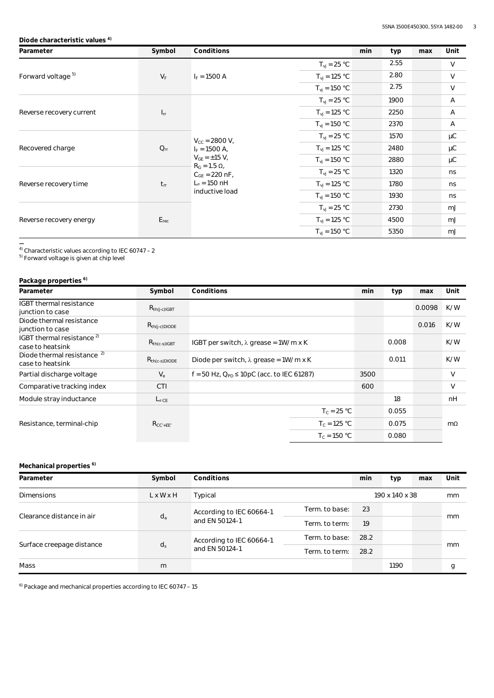#### **Diode characteristic values 4)**

| Parameter                     | Symbol    | Conditions                                                                                                                                               |                                 | min<br>typ | max | Unit           |
|-------------------------------|-----------|----------------------------------------------------------------------------------------------------------------------------------------------------------|---------------------------------|------------|-----|----------------|
|                               |           |                                                                                                                                                          | $T_{vi}$ = 25 °C                | 2.55       |     | V              |
| Forward voltage <sup>5)</sup> | $V_F$     | $I_F = 1500 A$                                                                                                                                           | $T_{\rm vj} = 125 \text{ °C}$   | 2.80       |     | V              |
|                               |           |                                                                                                                                                          | $T_{\rm vj} = 150 \, \degree C$ | 2.75       |     | V              |
|                               |           |                                                                                                                                                          | $T_{vi} = 25 °C$                | 1900       |     | Α              |
| Reverse recovery current      | $I_{rr}$  |                                                                                                                                                          | $T_{\rm{vj}}$ = 125 °C          | 2250       |     | $\overline{A}$ |
|                               |           |                                                                                                                                                          | $T_{\rm vj} = 150 \, \degree C$ | 2370       |     | Α              |
|                               | $Q_{rr}$  | $V_{CC}$ = 2800 V,<br>$I_F = 1500 A$ ,<br>$V_{GF} = \pm 15 V$ ,<br>$R_G = 1.5 \Omega$ ,<br>$C_{GF}$ = 220 nF,<br>$L_{\sigma}$ = 150 nH<br>inductive load | $T_{vi}$ = 25 °C                | 1570       |     | μC             |
| Recovered charge              |           |                                                                                                                                                          | $T_{\rm vj} = 125 \text{ °C}$   | 2480       |     | μC             |
|                               |           |                                                                                                                                                          | $T_{\rm vj} = 150 \, \degree C$ | 2880       |     | μC             |
|                               | $t_{rr}$  |                                                                                                                                                          | $T_{\rm vj} = 25 \text{ °C}$    | 1320       |     | ns             |
| Reverse recovery time         |           |                                                                                                                                                          | $T_{vi} = 125 °C$               | 1780       |     | ns             |
|                               |           |                                                                                                                                                          | $T_{\rm vj} = 150 \, \degree C$ | 1930       |     | ns             |
|                               | $E_{rec}$ |                                                                                                                                                          | $T_{vi} = 25 °C$                | 2730       |     | mJ             |
| Reverse recovery energy       |           |                                                                                                                                                          | $T_{\rm vj} = 125 \text{ °C}$   | 4500       |     | mJ             |
|                               |           |                                                                                                                                                          | $T_{\rm vj} = 150 \, \degree C$ | 5350       |     | mJ             |

**—** 4) Characteristic values according to IEC 60747 – 2

<sup>5)</sup> Forward voltage is given at chip level

## **Package properties 6)**

| Parameter                                                  | Symbol             | Conditions                                       | min  | typ   | max    | Unit      |
|------------------------------------------------------------|--------------------|--------------------------------------------------|------|-------|--------|-----------|
| <b>IGBT</b> thermal resistance<br>junction to case         | $R_{th(i-c)IGBT}$  |                                                  |      |       | 0.0098 | K/W       |
| Diode thermal resistance<br>junction to case               | $R_{th(i-c)DIODE}$ |                                                  |      |       | 0.016  | K/W       |
| IGBT thermal resistance $^{2)}$<br>case to heatsink        | $R_{th(c-s)IGBT}$  | IGBT per switch, $\lambda$ grease = 1W/m x K     |      | 0.008 |        | K/W       |
| Diode thermal resistance <sup>2)</sup><br>case to heatsink | $R_{th(c-s)DIODE}$ | Diode per switch, $\lambda$ grease = 1W/m x K    |      | 0.011 |        | K/W       |
| Partial discharge voltage                                  | $V_{\rm e}$        | $f = 50$ Hz, $Q_{PD}$ ≤ 10pC (acc. to IEC 61287) | 3500 |       |        | V         |
| Comparative tracking index                                 | <b>CTI</b>         |                                                  | 600  |       |        | V         |
| Module stray inductance                                    | $L_{\sigma CE}$    |                                                  |      | 18    |        | nH        |
|                                                            |                    | $T_c = 25 °C$                                    |      | 0.055 |        |           |
| Resistance, terminal-chip                                  | $R_{CC'+EE'}$      | $T_c = 125 °C$                                   |      | 0.075 |        | $m\Omega$ |
|                                                            |                    | $T_c = 150 °C$                                   |      | 0.080 |        |           |

## **Mechanical properties 6)**

| Parameter                 | Symbol | Conditions                                 |                | min  | typ  | max | Unit |
|---------------------------|--------|--------------------------------------------|----------------|------|------|-----|------|
| <b>Dimensions</b>         | LxWxH  | Typical                                    | 190 x 140 x 38 |      |      | mm  |      |
| Clearance distance in air | $d_a$  | According to IEC 60664-1<br>and EN 50124-1 | Term, to base: | 23   |      |     | mm   |
|                           |        |                                            | Term, to term: | 19   |      |     |      |
|                           | $d_s$  | According to IEC 60664-1                   | Term, to base: | 28.2 |      |     |      |
| Surface creepage distance |        | and EN 50124-1<br>Term, to term:           |                | 28.2 |      |     | mm   |
| Mass                      | m      |                                            |                |      | 1190 |     | g    |

 $6)$  Package and mechanical properties according to IEC 60747 – 15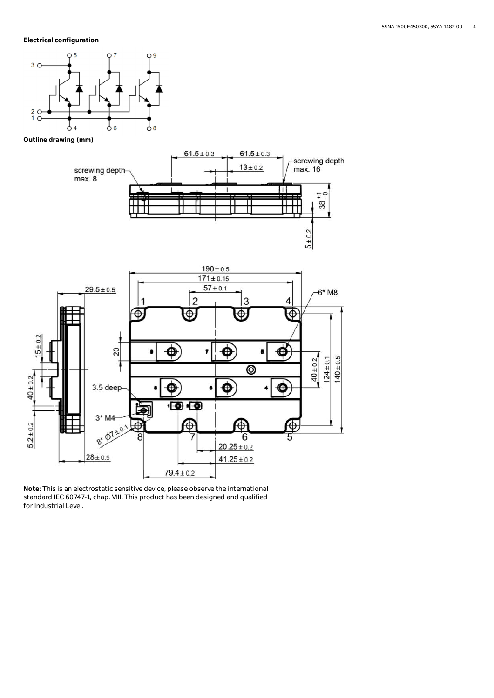**Electrical configuration**



**Outline drawing (mm)**





**Note**: This is an electrostatic sensitive device, please observe the international standard IEC 60747-1, chap. VIII. This product has been designed and qualified for Industrial Level.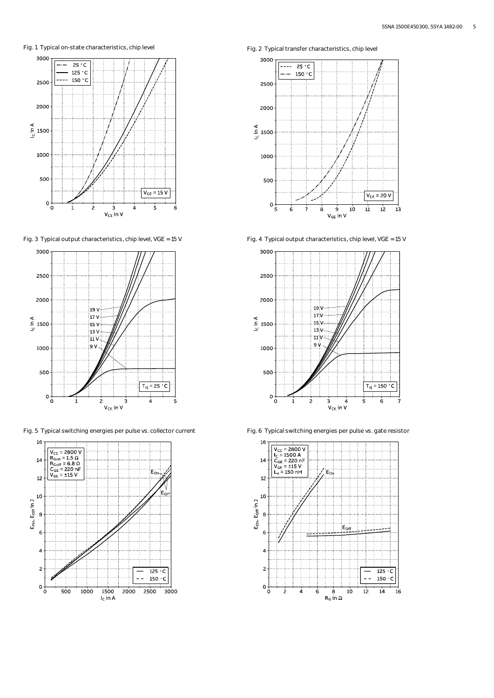Fig. 1 Typical on-state characteristics, chip level Fig. 2 Typical transfer characteristics, chip level



Fig. 3 Typical output characteristics, chip level, VGE = 15 V Fig. 4 Typical output characteristics, chip level, VGE = 15 V



Fig. 5 Typical switching energies per pulse vs. collector current Fig. 6 Typical switching energies per pulse vs. gate resistor







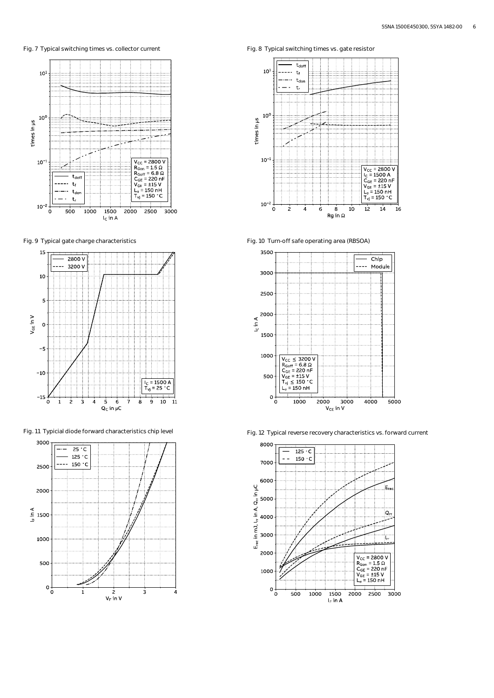Fig. 7 Typical switching times vs. collector current Fig. 8 Typical switching times vs. gate resistor









Fig. 9 Typical gate charge characteristics Fig. 10 Turn-off safe operating area (RBSOA)



Fig. 11 Typicial diode forward characteristics chip level Fig. 12 Typical reverse recovery characteristics vs. forward current